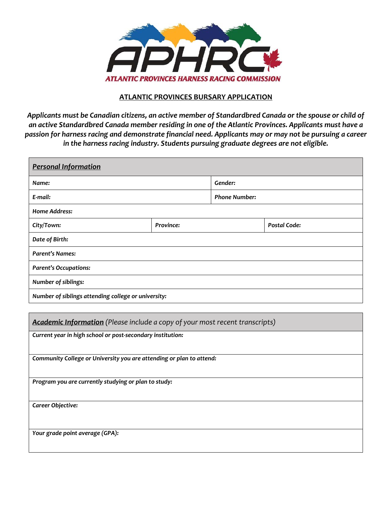

### **ATLANTIC PROVINCES BURSARY APPLICATION**

*Applicants must be Canadian citizens, an active member of Standardbred Canada or the spouse or child of an active Standardbred Canada member residing in one of the Atlantic Provinces. Applicants must have a passion for harness racing and demonstrate financial need. Applicants may or may not be pursuing a career in the harness racing industry. Students pursuing graduate degrees are not eligible.*

| <b>Personal Information</b>                                                  |           |                      |                     |  |
|------------------------------------------------------------------------------|-----------|----------------------|---------------------|--|
| Name:                                                                        |           | Gender:              |                     |  |
| E-mail:                                                                      |           | <b>Phone Number:</b> |                     |  |
| <b>Home Address:</b>                                                         |           |                      |                     |  |
| City/Town:                                                                   | Province: |                      | <b>Postal Code:</b> |  |
| Date of Birth:                                                               |           |                      |                     |  |
| <b>Parent's Names:</b>                                                       |           |                      |                     |  |
| <b>Parent's Occupations:</b>                                                 |           |                      |                     |  |
| Number of siblings:                                                          |           |                      |                     |  |
| Number of siblings attending college or university:                          |           |                      |                     |  |
|                                                                              |           |                      |                     |  |
| Academic Information (Please include a copy of your most recent transcripts) |           |                      |                     |  |
| Current year in high school or post-secondary institution:                   |           |                      |                     |  |
|                                                                              |           |                      |                     |  |
| Community College or University you are attending or plan to attend:         |           |                      |                     |  |
| Program you are currently studying or plan to study:                         |           |                      |                     |  |
|                                                                              |           |                      |                     |  |
| Career Objective:                                                            |           |                      |                     |  |
|                                                                              |           |                      |                     |  |
| Your grade point average (GPA):                                              |           |                      |                     |  |
|                                                                              |           |                      |                     |  |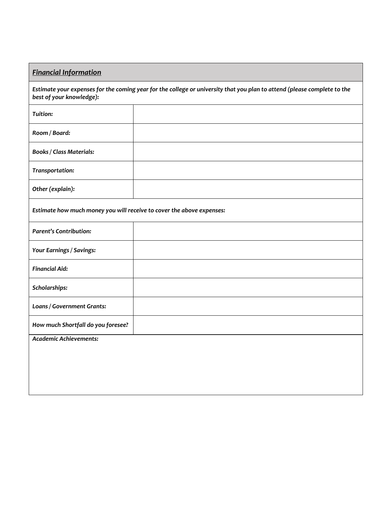# *Financial Information*

*Estimate your expenses for the coming year for the college or university that you plan to attend (please complete to the best of your knowledge):*

| Tuition:                                                              |  |  |  |
|-----------------------------------------------------------------------|--|--|--|
| Room / Board:                                                         |  |  |  |
| <b>Books / Class Materials:</b>                                       |  |  |  |
| Transportation:                                                       |  |  |  |
| Other (explain):                                                      |  |  |  |
| Estimate how much money you will receive to cover the above expenses: |  |  |  |
| <b>Parent's Contribution:</b>                                         |  |  |  |
| Your Earnings / Savings:                                              |  |  |  |
| <b>Financial Aid:</b>                                                 |  |  |  |
| Scholarships:                                                         |  |  |  |
| Loans / Government Grants:                                            |  |  |  |
| How much Shortfall do you foresee?                                    |  |  |  |
| <b>Academic Achievements:</b>                                         |  |  |  |
|                                                                       |  |  |  |
|                                                                       |  |  |  |
|                                                                       |  |  |  |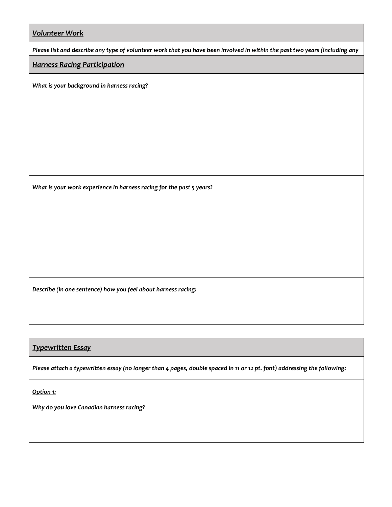*Please list and describe any type of volunteer work that you have been involved in within the past two years (including any* 

#### *Harness Racing Participation*

*What is your background in harness racing?* 

*volunteer hours in the harness racing industry):*

*What is your work experience in harness racing for the past 5 years?*

*Describe (in one sentence) how you feel about harness racing:*

## *Typewritten Essay*

*Please attach a typewritten essay (no longer than 4 pages, double spaced in 11 or 12 pt. font) addressing the following:*

*Option 1:*

*Why do you love Canadian harness racing?*